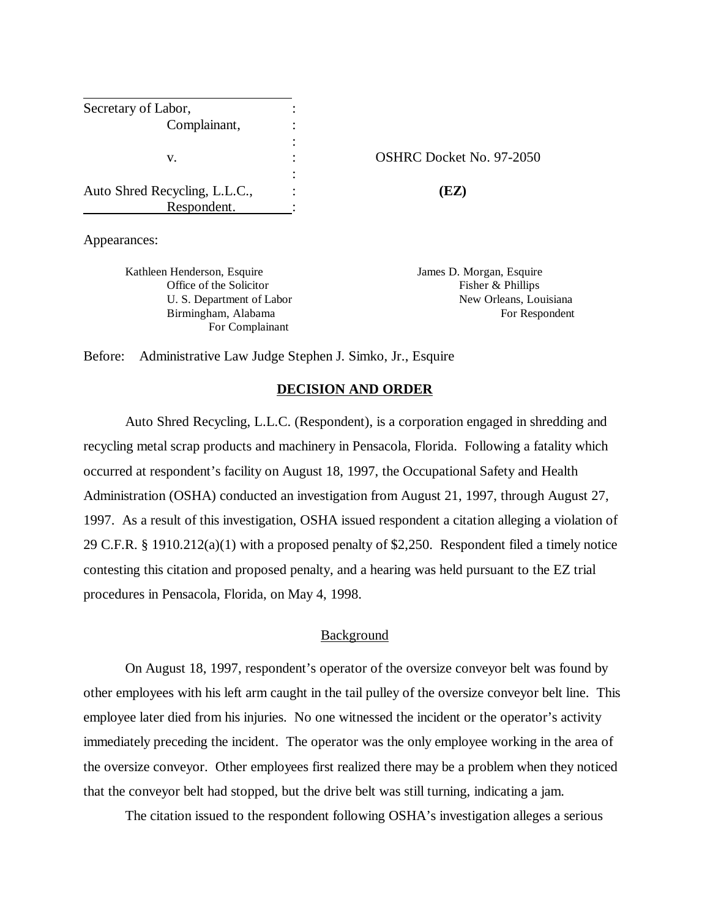| Secretary of Labor,           |                          |                                 |
|-------------------------------|--------------------------|---------------------------------|
| Complainant,                  |                          |                                 |
| v.                            | ٠<br>$\blacksquare$<br>٠ | <b>OSHRC Docket No. 97-2050</b> |
| Auto Shred Recycling, L.L.C., |                          | (EZ)                            |
| Respondent.                   |                          |                                 |

Appearances:

Kathleen Henderson, Esquire **Intervalle Serverson, Esquire** James D. Morgan, Esquire Office of the Solicitor Fisher & Phillips For Complainant

U. S. Department of Labor New Orleans, Louisiana Birmingham, Alabama For Respondent

Before: Administrative Law Judge Stephen J. Simko, Jr., Esquire

# **DECISION AND ORDER**

Auto Shred Recycling, L.L.C. (Respondent), is a corporation engaged in shredding and recycling metal scrap products and machinery in Pensacola, Florida. Following a fatality which occurred at respondent's facility on August 18, 1997, the Occupational Safety and Health Administration (OSHA) conducted an investigation from August 21, 1997, through August 27, 1997. As a result of this investigation, OSHA issued respondent a citation alleging a violation of 29 C.F.R. § 1910.212(a)(1) with a proposed penalty of \$2,250. Respondent filed a timely notice contesting this citation and proposed penalty, and a hearing was held pursuant to the EZ trial procedures in Pensacola, Florida, on May 4, 1998.

# Background

On August 18, 1997, respondent's operator of the oversize conveyor belt was found by other employees with his left arm caught in the tail pulley of the oversize conveyor belt line. This employee later died from his injuries. No one witnessed the incident or the operator's activity immediately preceding the incident. The operator was the only employee working in the area of the oversize conveyor. Other employees first realized there may be a problem when they noticed that the conveyor belt had stopped, but the drive belt was still turning, indicating a jam.

The citation issued to the respondent following OSHA's investigation alleges a serious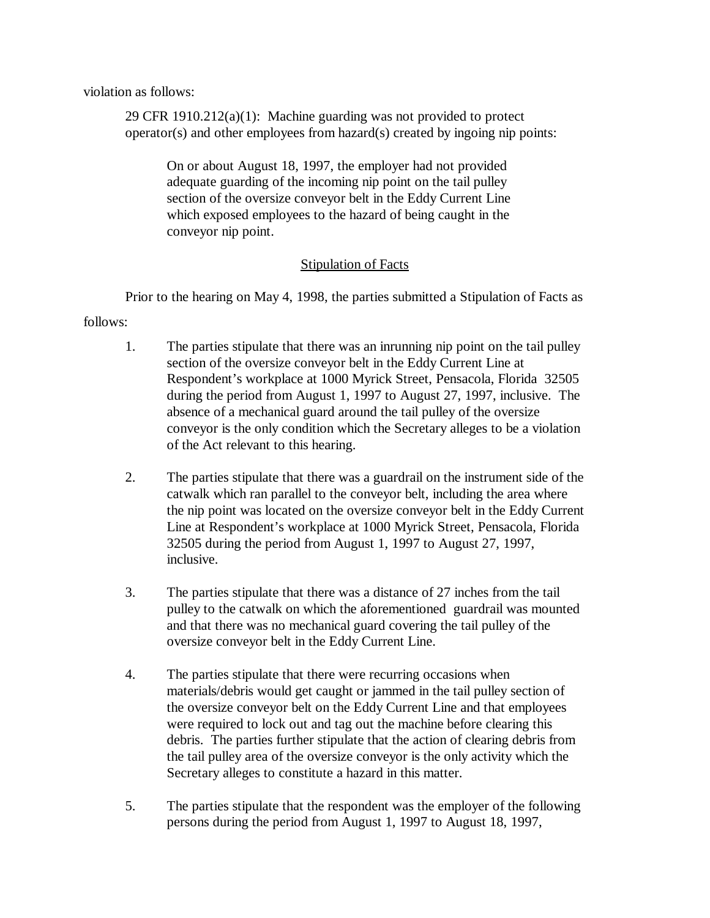violation as follows:

29 CFR 1910.212(a)(1): Machine guarding was not provided to protect operator(s) and other employees from hazard(s) created by ingoing nip points:

On or about August 18, 1997, the employer had not provided adequate guarding of the incoming nip point on the tail pulley section of the oversize conveyor belt in the Eddy Current Line which exposed employees to the hazard of being caught in the conveyor nip point.

# Stipulation of Facts

Prior to the hearing on May 4, 1998, the parties submitted a Stipulation of Facts as

follows:

- 1. The parties stipulate that there was an inrunning nip point on the tail pulley section of the oversize conveyor belt in the Eddy Current Line at Respondent's workplace at 1000 Myrick Street, Pensacola, Florida 32505 during the period from August 1, 1997 to August 27, 1997, inclusive. The absence of a mechanical guard around the tail pulley of the oversize conveyor is the only condition which the Secretary alleges to be a violation of the Act relevant to this hearing.
- 2. The parties stipulate that there was a guardrail on the instrument side of the catwalk which ran parallel to the conveyor belt, including the area where the nip point was located on the oversize conveyor belt in the Eddy Current Line at Respondent's workplace at 1000 Myrick Street, Pensacola, Florida 32505 during the period from August 1, 1997 to August 27, 1997, inclusive.
- 3. The parties stipulate that there was a distance of 27 inches from the tail pulley to the catwalk on which the aforementioned guardrail was mounted and that there was no mechanical guard covering the tail pulley of the oversize conveyor belt in the Eddy Current Line.
- 4. The parties stipulate that there were recurring occasions when materials/debris would get caught or jammed in the tail pulley section of the oversize conveyor belt on the Eddy Current Line and that employees were required to lock out and tag out the machine before clearing this debris. The parties further stipulate that the action of clearing debris from the tail pulley area of the oversize conveyor is the only activity which the Secretary alleges to constitute a hazard in this matter.
- 5. The parties stipulate that the respondent was the employer of the following persons during the period from August 1, 1997 to August 18, 1997,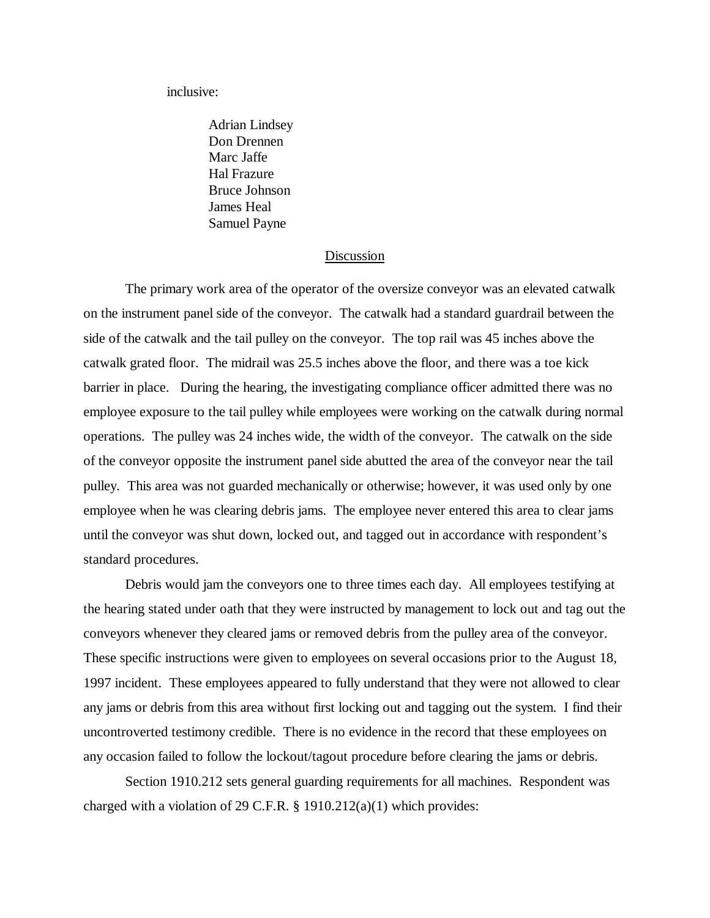inclusive:

Adrian Lindsey Don Drennen Marc Jaffe Hal Frazure Bruce Johnson James Heal Samuel Payne

#### Discussion

The primary work area of the operator of the oversize conveyor was an elevated catwalk on the instrument panel side of the conveyor. The catwalk had a standard guardrail between the side of the catwalk and the tail pulley on the conveyor. The top rail was 45 inches above the catwalk grated floor. The midrail was 25.5 inches above the floor, and there was a toe kick barrier in place. During the hearing, the investigating compliance officer admitted there was no employee exposure to the tail pulley while employees were working on the catwalk during normal operations. The pulley was 24 inches wide, the width of the conveyor. The catwalk on the side of the conveyor opposite the instrument panel side abutted the area of the conveyor near the tail pulley. This area was not guarded mechanically or otherwise; however, it was used only by one employee when he was clearing debris jams. The employee never entered this area to clear jams until the conveyor was shut down, locked out, and tagged out in accordance with respondent's standard procedures.

Debris would jam the conveyors one to three times each day. All employees testifying at the hearing stated under oath that they were instructed by management to lock out and tag out the conveyors whenever they cleared jams or removed debris from the pulley area of the conveyor. These specific instructions were given to employees on several occasions prior to the August 18, 1997 incident. These employees appeared to fully understand that they were not allowed to clear any jams or debris from this area without first locking out and tagging out the system. I find their uncontroverted testimony credible. There is no evidence in the record that these employees on any occasion failed to follow the lockout/tagout procedure before clearing the jams or debris.

Section 1910.212 sets general guarding requirements for all machines. Respondent was charged with a violation of 29 C.F.R. § 1910.212(a)(1) which provides: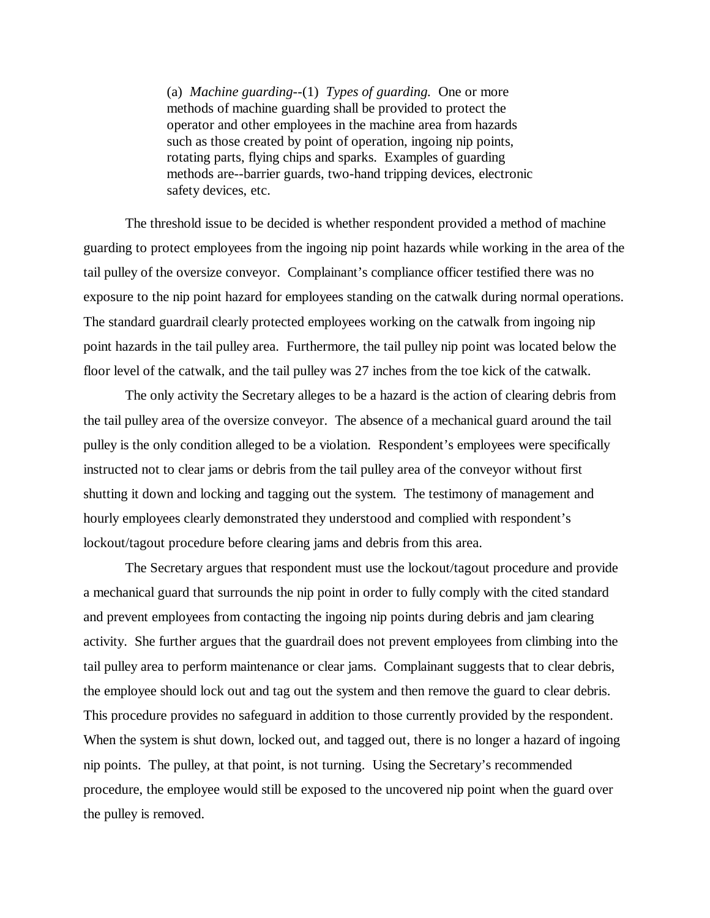(a) *Machine guarding*--(1) *Types of guarding.* One or more methods of machine guarding shall be provided to protect the operator and other employees in the machine area from hazards such as those created by point of operation, ingoing nip points, rotating parts, flying chips and sparks. Examples of guarding methods are--barrier guards, two-hand tripping devices, electronic safety devices, etc.

The threshold issue to be decided is whether respondent provided a method of machine guarding to protect employees from the ingoing nip point hazards while working in the area of the tail pulley of the oversize conveyor. Complainant's compliance officer testified there was no exposure to the nip point hazard for employees standing on the catwalk during normal operations. The standard guardrail clearly protected employees working on the catwalk from ingoing nip point hazards in the tail pulley area. Furthermore, the tail pulley nip point was located below the floor level of the catwalk, and the tail pulley was 27 inches from the toe kick of the catwalk.

The only activity the Secretary alleges to be a hazard is the action of clearing debris from the tail pulley area of the oversize conveyor. The absence of a mechanical guard around the tail pulley is the only condition alleged to be a violation. Respondent's employees were specifically instructed not to clear jams or debris from the tail pulley area of the conveyor without first shutting it down and locking and tagging out the system. The testimony of management and hourly employees clearly demonstrated they understood and complied with respondent's lockout/tagout procedure before clearing jams and debris from this area.

The Secretary argues that respondent must use the lockout/tagout procedure and provide a mechanical guard that surrounds the nip point in order to fully comply with the cited standard and prevent employees from contacting the ingoing nip points during debris and jam clearing activity. She further argues that the guardrail does not prevent employees from climbing into the tail pulley area to perform maintenance or clear jams. Complainant suggests that to clear debris, the employee should lock out and tag out the system and then remove the guard to clear debris. This procedure provides no safeguard in addition to those currently provided by the respondent. When the system is shut down, locked out, and tagged out, there is no longer a hazard of ingoing nip points. The pulley, at that point, is not turning. Using the Secretary's recommended procedure, the employee would still be exposed to the uncovered nip point when the guard over the pulley is removed.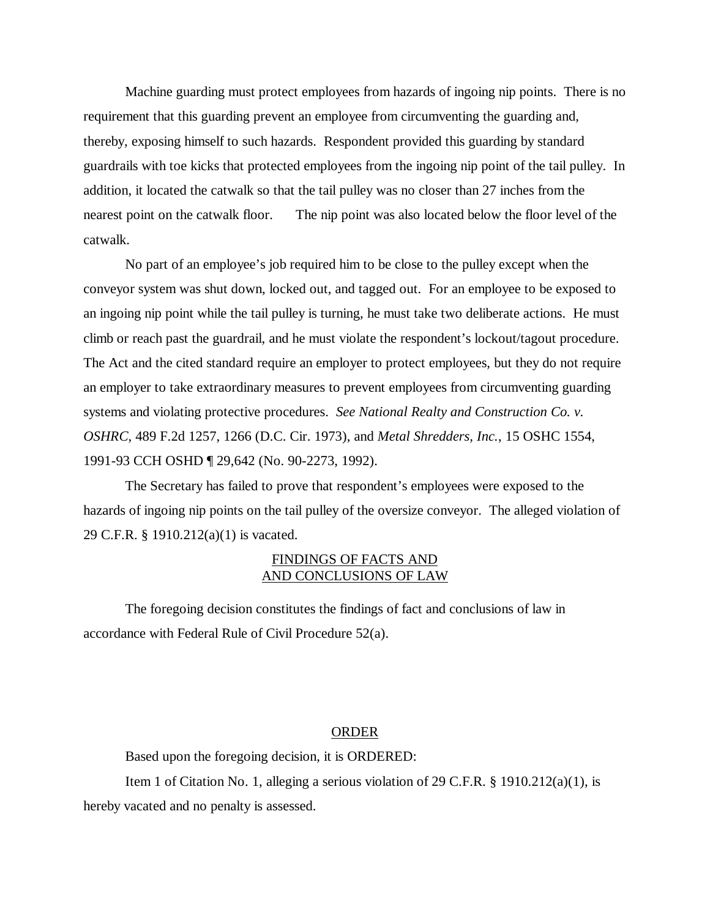Machine guarding must protect employees from hazards of ingoing nip points. There is no requirement that this guarding prevent an employee from circumventing the guarding and, thereby, exposing himself to such hazards. Respondent provided this guarding by standard guardrails with toe kicks that protected employees from the ingoing nip point of the tail pulley. In addition, it located the catwalk so that the tail pulley was no closer than 27 inches from the nearest point on the catwalk floor. The nip point was also located below the floor level of the catwalk.

 No part of an employee's job required him to be close to the pulley except when the conveyor system was shut down, locked out, and tagged out. For an employee to be exposed to an ingoing nip point while the tail pulley is turning, he must take two deliberate actions. He must climb or reach past the guardrail, and he must violate the respondent's lockout/tagout procedure. The Act and the cited standard require an employer to protect employees, but they do not require an employer to take extraordinary measures to prevent employees from circumventing guarding systems and violating protective procedures. *See National Realty and Construction Co. v. OSHRC*, 489 F.2d 1257, 1266 (D.C. Cir. 1973), and *Metal Shredders, Inc.*, 15 OSHC 1554, 1991-93 CCH OSHD ¶ 29,642 (No. 90-2273, 1992).

The Secretary has failed to prove that respondent's employees were exposed to the hazards of ingoing nip points on the tail pulley of the oversize conveyor. The alleged violation of 29 C.F.R. § 1910.212(a)(1) is vacated.

# FINDINGS OF FACTS AND AND CONCLUSIONS OF LAW

The foregoing decision constitutes the findings of fact and conclusions of law in accordance with Federal Rule of Civil Procedure 52(a).

# ORDER

Based upon the foregoing decision, it is ORDERED:

Item 1 of Citation No. 1, alleging a serious violation of 29 C.F.R. § 1910.212(a)(1), is hereby vacated and no penalty is assessed.